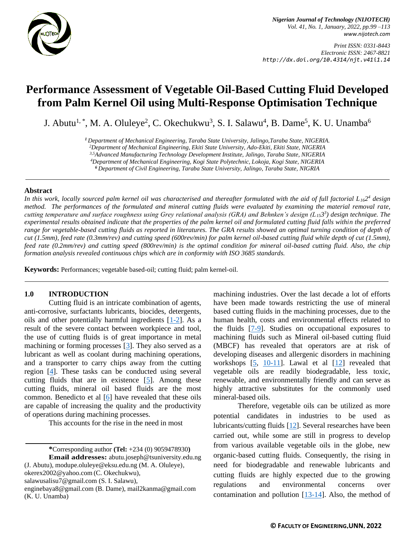

*Nigerian Journal of Technology (NIJOTECH) Vol. 41, No. 1, January, 2022, pp.99 –113 [www.nijotech.com](http://www.nijotech.com/)*

*Print ISSN: 0331-8443 Electronic ISSN: 2467-8821 http://dx.doi.org/10.4314/njt.v41i1.14*

# **Performance Assessment of Vegetable Oil-Based Cutting Fluid Developed from Palm Kernel Oil using Multi-Response Optimisation Technique**

J. Abutu<sup>1,</sup>\*, M. A. Oluleye<sup>2</sup>, C. Okechukwu<sup>3</sup>, S. I. Salawu<sup>4</sup>, B. Dame<sup>5</sup>, K. U. Unamba<sup>6</sup>

*<sup>1</sup>Department of Mechanical Engineering, Taraba State University, Jalingo,Taraba State, NIGERIA.*

*<sup>2</sup>Department of Mechanical Engineering, Ekiti State University, Ado-Ekiti, Ekiti State, NIGERIA*

*3,5Advanced Manufacturing Technology Development Institute, Jalingo, Taraba State, NIGERIA*

*<sup>4</sup>Department of Mechanical Engineering, Kogi State Polytechnic, Lokoja, Kogi State, NIGERIA*

*<sup>6</sup>Department of Civil Engineering, Taraba State University, Jalingo, Taraba State, NIGRIA*

#### **Abstract**

In this work, locally sourced palm kernel oil was characterised and thereafter formulated with the aid of full factorial  $L_{16}2^4$  design *method. The performances of the formulated and mineral cutting fluids were evaluated by examining the material removal rate, cutting temperature and surface roughness using Grey relational analysis (GRA) and Behnken's design (L153 3 ) design technique. The experimental results obtained indicate that the properties of the palm kernel oil and formulated cutting fluid falls within the preferred*  range for vegetable-based cutting fluids as reported in literatures. The GRA results showed an optimal turning condition of depth of *cut (1.5mm), feed rate (0.3mm/rev) and cutting speed (600rev/min) for palm kernel oil-based cutting fluid while depth of cut (1.5mm), feed rate (0.2mm/rev) and cutting speed (800rev/min) is the optimal condition for mineral oil-based cutting fluid. Also, the chip formation analysis revealed continuous chips which are in conformity with ISO 3685 standards.*

**Keywords:** Performances; vegetable based-oil; cutting fluid; palm kernel-oil.

#### **1.0 INTRODUCTION**

Cutting fluid is an intricate combination of agents, anti-corrosive, surfactants lubricants, biocides, detergents, oils and other potentially harmful ingredients [\[1](#page-12-0)[-2\]](#page-12-1). As a result of the severe contact between workpiece and tool, the use of cutting fluids is of great importance in metal machining or forming processes [\[3\]](#page-12-2). They also served as a lubricant as well as coolant during machining operations, and a transporter to carry chips away from the cutting region [\[4\]](#page-12-3). These tasks can be conducted using several cutting fluids that are in existence  $[5]$ . Among these cutting fluids, mineral oil based fluids are the most common. [Benedicto](https://www.sciencedirect.com/science/article/pii/S1877705817315801#!) et al [\[6\]](#page-12-5) have revealed that these oils are capable of increasing the quality and the productivity of operations during machining processes.

This accounts for the rise in the need in most

**\***Corresponding author **[\(Te](mailto:samnnaemeka.ugwu@unn.edu.ng)l:** +234 (0) 9059478930**) Email addresses:** [abutu.joseph@t](mailto:abutu.joseph@)suniversity.edu.ng

(J. Abutu), modupe.oluleye@eksu.edu.ng (M. A. Oluleye[\),](mailto:,%20okerex2002@yahoo.com) 

[okerex2002@yahoo.com](mailto:,%20okerex2002@yahoo.com) (C. Okechukwu),

[salawusalisu7@gmail.com](mailto:salawusalisu7@gmail.com) (S. I. Salawu),

machining industries. Over the last decade a lot of efforts have been made towards restricting the use of mineral based cutting fluids in the machining processes, due to the human health, costs and environmental effects related to the fluids [\[7](#page-12-6)[-9\]](#page-12-7). Studies on occupational exposures to machining fluids such as Mineral oil-based cutting fluid (MBCF) has revealed that operators are at risk of developing diseases and allergenic disorders in machining workshops [\[5,](#page-12-4) [10](#page-12-8)[-11\]](#page-12-9). Lawal et al [\[12\]](#page-12-10) revealed that vegetable oils are readily biodegradable, less toxic, renewable, and environmentally friendly and can serve as highly attractive substitutes for the commonly used mineral-based oils.

Therefore, vegetable oils can be utilized as more potential candidates in industries to be used as lubricants/cutting fluids [\[12\]](#page-12-10). Several researches have been carried out, while some are still in progress to develop from various available vegetable oils in the globe, new organic-based cutting fluids. Consequently, the rising in need for biodegradable and renewable lubricants and cutting fluids are highly expected due to the growing regulations and environmental concerns over contamination and pollution  $[13-14]$ . Also, the method of

[enginebaya8@gmail.com](mailto:enginebaya8@gmail.com) (B. Dame), [mail2kanma@gmail.com](mailto:mail2kanma@gmail.com) (K. U. Unamba)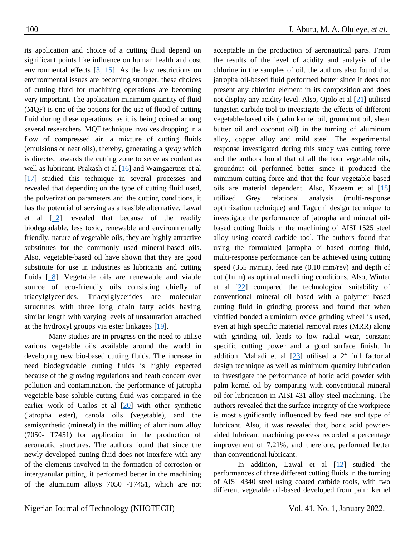its application and choice of a cutting fluid depend on significant points like influence on human health and cost environmental effects  $[3, 15]$  $[3, 15]$  $[3, 15]$ . As the law restrictions on environmental issues are becoming stronger, these choices of cutting fluid for machining operations are becoming very important. The application minimum quantity of fluid (MQF) is one of the options for the use of flood of cutting fluid during these operations, as it is being coined among several researchers. MQF technique involves dropping in a flow of compressed air, a mixture of cutting fluids (emulsions or neat oils), thereby, generating a *spray* which is directed towards the cutting zone to serve as coolant as well as lubricant. Prakash et al [\[16\]](#page-13-1) and Waingaertner et al [\[17\]](#page-13-2) studied this technique in several processes and revealed that depending on the type of cutting fluid used, the pulverization parameters and the cutting conditions, it has the potential of serving as a feasible alternative. Lawal et al [\[12\]](#page-12-10) revealed that because of the readily biodegradable, less toxic, renewable and environmentally friendly, nature of vegetable oils, they are highly attractive substitutes for the commonly used mineral-based oils. Also, vegetable-based oil have shown that they are good substitute for use in industries as lubricants and cutting fluids [\[18\]](#page-13-3). Vegetable oils are renewable and viable source of eco-friendly oils consisting chiefly of triacylglycerides. Triacylglycerides are molecular structures with three long chain fatty acids having similar length with varying levels of unsaturation attached at the hydroxyl groups via ester linkages [\[19\]](#page-1-0).

<span id="page-1-0"></span>Many studies are in progress on the need to utilise various vegetable oils available around the world in developing new bio-based cutting fluids. The increase in need biodegradable cutting fluids is highly expected because of the growing regulations and heath concern over pollution and contamination. the performance of jatropha vegetable-base soluble cutting fluid was compared in the earlier work of Carlos et al [\[20\]](#page-13-4) with other synthetic (jatropha ester), canola oils (vegetable), and the semisynthetic (mineral) in the milling of aluminum alloy (7050- T7451) for application in the production of aeronautic structures. The authors found that since the newly developed cutting fluid does not interfere with any of the elements involved in the formation of corrosion or intergranular pitting, it performed better in the machining of the aluminum alloys 7050 -T7451, which are not

acceptable in the production of aeronautical parts. From the results of the level of acidity and analysis of the chlorine in the samples of oil, the authors also found that jatropha oil-based fluid performed better since it does not present any chlorine element in its composition and does not display any acidity level. Also, Ojolo et al [\[21\]](#page-13-5) utilised tungsten carbide tool to investigate the effects of different vegetable-based oils (palm kernel oil, groundnut oil, shear butter oil and coconut oil) in the turning of aluminum alloy, copper alloy and mild steel. The experimental response investigated during this study was cutting force and the authors found that of all the four vegetable oils, groundnut oil performed better since it produced the minimum cutting force and that the four vegetable based oils are material dependent. Also, Kazeem et al [\[18\]](#page-13-3) utilized Grey relational analysis (multi-response optimization technique) and Taguchi design technique to investigate the performance of jatropha and mineral oilbased cutting fluids in the machining of AISI 1525 steel alloy using coated carbide tool. The authors found that using the formulated jatropha oil-based cutting fluid, multi-response performance can be achieved using cutting speed (355 m/min), feed rate (0.10 mm/rev) and depth of cut (1mm) as optimal machining conditions. Also, Winter et al [\[22\]](#page-13-6) compared the technological suitability of conventional mineral oil based with a polymer based cutting fluid in grinding process and found that when vitrified bonded aluminium oxide grinding wheel is used, even at high specific material removal rates (MRR) along with grinding oil, leads to low radial wear, constant specific cutting power and a good surface finish. In addition, Mahadi et al  $[23]$  utilised a  $2<sup>4</sup>$  full factorial design technique as well as minimum quantity lubrication to investigate the performance of boric acid powder with palm kernel oil by comparing with conventional mineral oil for lubrication in AISI 431 alloy steel machining. The authors revealed that the surface integrity of the workpiece is most significantly influenced by feed rate and type of lubricant. Also, it was revealed that, boric acid powderaided lubricant machining process recorded a percentage improvement of 7.21%, and therefore, performed better than conventional lubricant.

In addition, Lawal et al [\[12\]](#page-12-10) studied the performances of three different cutting fluids in the turning of AISI 4340 steel using coated carbide tools, with two different vegetable oil-based developed from palm kernel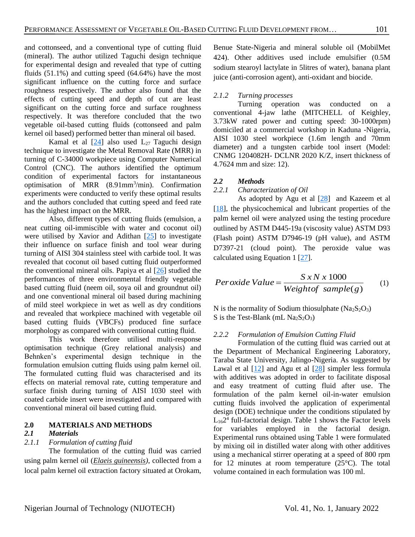and cottonseed, and a conventional type of cutting fluid (mineral). The author utilized Taguchi design technique for experimental design and revealed that type of cutting fluids  $(51.1\%)$  and cutting speed  $(64.64\%)$  have the most significant influence on the cutting force and surface roughness respectively. The author also found that the effects of cutting speed and depth of cut are least significant on the cutting force and surface roughness respectively. It was therefore concluded that the two vegetable oil-based cutting fluids (cottonseed and palm kernel oil based) performed better than mineral oil based.

Kamal et al  $[24]$  also used  $L_{27}$  Taguchi design technique to investigate the Metal Removal Rate (MRR) in turning of C-34000 workpiece using Computer Numerical Control (CNC). The authors identified the optimum condition of experimental factors for instantaneous optimisation of MRR (8.91mm<sup>3</sup>/min). Confirmation experiments were conducted to verify these optimal results and the authors concluded that cutting speed and feed rate has the highest impact on the MRR.

Also, different types of cutting fluids (emulsion, a neat cutting oil-immiscible with water and coconut oil) were utilised by Xavior and Adithan [\[25\]](#page-13-9) to investigate their influence on surface finish and tool wear during turning of AISI 304 stainless steel with carbide tool. It was revealed that coconut oil based cutting fluid outperformed the conventional mineral oils. Papiya et al  $[26]$  studied the performances of three environmental friendly vegetable based cutting fluid (neem oil, soya oil and groundnut oil) and one conventional mineral oil based during machining of mild steel workpiece in wet as well as dry conditions and revealed that workpiece machined with vegetable oil based cutting fluids (VBCFs) produced fine surface morphology as compared with conventional cutting fluid.

This work therefore utilised multi-response optimisation technique (Grey relational analysis) and Behnken's experimental design technique in the formulation emulsion cutting fluids using palm kernel oil. The formulated cutting fluid was characterised and its effects on material removal rate, cutting temperature and surface finish during turning of AISI 1030 steel with coated carbide insert were investigated and compared with conventional mineral oil based cutting fluid.

## **2.0 MATERIALS AND METHODS**

#### *2.1 Materials*

## *2.1.1 Formulation of cutting fluid*

The formulation of the cutting fluid was carried using palm kernel oil (*[Elaeis guineensis\)](https://en.wikipedia.org/wiki/Elaeis_guineensis)*, collected from a local palm kernel oil extraction factory situated at Orokam,

Benue State-Nigeria and mineral soluble oil (MobilMet 424). Other additives used include emulsifier (0.5M sodium stearoyl lactylate in 5litres of water), banana plant juice (anti-corrosion agent), anti-oxidant and biocide.

## *2.1.2 Turning processes*

Turning operation was conducted on a conventional 4-jaw lathe (MITCHELL of Keighley, 3.73kW rated power and cutting speed: 30-1000rpm) domiciled at a commercial workshop in Kaduna -Nigeria, AISI 1030 steel workpiece (1.6m length and 70mm diameter) and a tungsten carbide tool insert (Model: CNMG 1204082H- DCLNR 2020 K/Z, insert thickness of 4.7624 mm and size: 12).

#### *2.2 Methods*

#### *2.2.1 Characterization of Oil*

As adopted by Agu et al [\[28\]](#page-14-1) and Kazeem et al [\[18\]](#page-13-3), the physicochemical and lubricant properties of the palm kernel oil were analyzed using the testing procedure outlined by ASTM D445-19a (viscosity value) ASTM D93 (Flash point) ASTM D7946-19 (pH value), and ASTM D7397-21 (cloud point). The peroxide value was calculated using Equation 1 [\[27\]](#page-13-10).

$$
Per oxide Value = \frac{S x N x 1000}{Weight of sample(g)}
$$
 (1)

N is the normality of Sodium thiosulphate  $(Na<sub>2</sub>S<sub>2</sub>O<sub>3</sub>)$ S is the Test-Blank (mL  $Na<sub>2</sub>S<sub>2</sub>O<sub>3</sub>$ )

#### *2.2.2 Formulation of Emulsion Cutting Fluid*

Formulation of the cutting fluid was carried out at the Department of Mechanical Engineering Laboratory, Taraba State University, Jalingo-Nigeria. As suggested by Lawal et al  $[12]$  and Agu et al  $[28]$  simpler less formula with additives was adopted in order to facilitate disposal and easy treatment of cutting fluid after use. The formulation of the palm kernel oil-in-water emulsion cutting fluids involved the application of experimental design (DOE) technique under the conditions stipulated by L162 4 full-factorial design. Table 1 shows the Factor levels for variables employed in the factorial design. Experimental runs obtained using Table 1 were formulated by mixing oil in distilled water along with other additives using a mechanical stirrer operating at a speed of 800 rpm for 12 minutes at room temperature  $(25^{\circ}C)$ . The total volume contained in each formulation was 100 ml.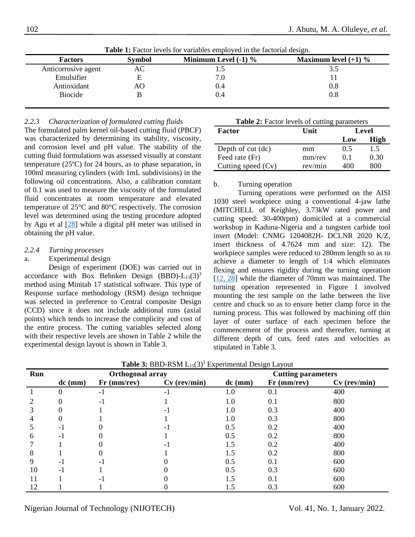| <b>Factors</b>      | <b>Symbol</b> | Minimum Level $(-1)$ % | Maximum level $(+1)$ % |
|---------------------|---------------|------------------------|------------------------|
| Anticorrosive agent | AС            |                        |                        |
| Emulsifier          |               | 7.0                    |                        |
| Antioxidant         | AО            | 0.4                    | $0.8\,$                |
| <b>Biocide</b>      |               | 0.4                    | $\rm 0.8$              |

**Table 1:** Factor levels for variables employed in the factorial design.

#### *2.2.3 Characterization of formulated cutting fluids*

The formulated palm kernel oil-based cutting fluid (PBCF) was characterized by determining its stability, viscosity, and corrosion level and pH value. The stability of the cutting fluid formulations was assessed visually at constant temperature (25ºC) for 24 hours, as to phase separation, in 100ml measuring cylinders (with 1mL subdivisions) in the following oil concentrations. Also, a calibration constant of 0.1 was used to measure the viscosity of the formulated fluid concentrates at room temperature and elevated temperature of 25°C and 80°C respectively. The corrosion level was determined using the testing procedure adopted by Agu et al [\[28\]](#page-14-1) while a digital pH meter was utilised in obtaining the pH value.

#### *2.2.4 Turning processes*

#### a. Experimental design

Design of experiment (DOE) was carried out in accordance with Box Behnken Design  $(BBD)$ - $L_{15}(3)^3$ method using Minitab 17 statistical software. This type of Response surface methodology (RSM) design technique was selected in preference to Central composite Design (CCD) since it does not include additional runs (axial points) which tends to increase the complicity and cost of the entire process. The cutting variables selected along with their respective levels are shown in Table 2 while the experimental design layout is shown in Table 3.

|  |  |  |  | <b>Table 2:</b> Factor levels of cutting parameters |
|--|--|--|--|-----------------------------------------------------|
|--|--|--|--|-----------------------------------------------------|

| Factor               | ິ<br>Unit | Level |      |
|----------------------|-----------|-------|------|
|                      |           | Low   | High |
| Depth of cut (dc)    | mm        | 0.5   | 1.5  |
| Feed rate (Fr)       | mm/rev    | 0.1   | 0.30 |
| Cutting speed $(Cv)$ | rev/min   | 400   | 800  |

#### b. Turning operation

Turning operations were performed on the AISI 1030 steel workpiece using a conventional 4-jaw lathe (MITCHELL of Keighley, 3.73kW rated power and cutting speed: 30-400rpm) domiciled at a commercial workshop in Kaduna-Nigeria and a tungsten carbide tool insert (Model: CNMG 1204082H- DCLNR 2020 K/Z, insert thickness of 4.7624 mm and size: 12). The workpiece samples were reduced to 280mm length so as to achieve a diameter to length of 1:4 which eliminates flexing and ensures rigidity during the turning operation [\[12,](#page-12-10) [28\]](#page-13-11) while the diameter of 70mm was maintained. The turning operation represented in Figure 1 involved mounting the test sample on the lathe between the live centre and chuck so as to ensure better clamp force in the turning process. This was followed by machining off thin layer of outer surface of each specimen before the commencement of the process and thereafter, turning at different depth of cuts, feed rates and velocities as stipulated in Table 3.

| Run |           | Orthogonal array |                |           | <b>Cutting parameters</b> |                |
|-----|-----------|------------------|----------------|-----------|---------------------------|----------------|
|     | $dc$ (mm) | $Fr$ (mm/rev)    | $Cv$ (rev/min) | $dc$ (mm) | $Fr$ (mm/rev)             | $Cv$ (rev/min) |
|     |           | -1               |                | 1.0       | 0.1                       | 400            |
|     |           | - 1              |                | 1.0       | 0.1                       | 800            |
|     |           |                  |                | 1.0       | 0.3                       | 400            |
|     |           |                  |                | 1.0       | 0.3                       | 800            |
|     | - 1       |                  |                | 0.5       | 0.2                       | 400            |
| h   | - 1       |                  |                | 0.5       | 0.2                       | 800            |
|     |           |                  |                | 1.5       | 0.2                       | 400            |
| 8   |           |                  |                | 1.5       | 0.2                       | 800            |
|     | - 1       |                  |                | 0.5       | 0.1                       | 600            |
| 10  | $-1$      |                  |                | 0.5       | 0.3                       | 600            |
|     |           | - 1              |                | 1.5       | 0.1                       | 600            |
| 12  |           |                  |                | 1.5       | 0.3                       | 600            |

**Table 3:** BBD-RSM  $L_{15}(3)^3$  Experimental Design Layout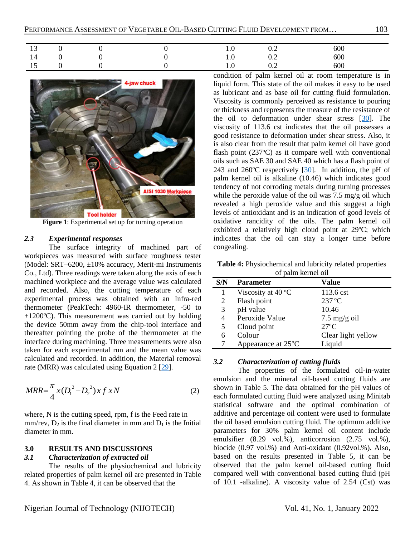| $\sqrt{2}$<br><b>IJ</b> |  | $\mathbf{1} \cdot \mathbf{0}$ | $\mathsf{U}.\mathsf{\Delta}$ | 600 |
|-------------------------|--|-------------------------------|------------------------------|-----|
| 14                      |  | $\cdot$                       | $U \cdot \angle$             | 600 |
| . L J                   |  |                               | $v_{\cdot}$                  | 600 |



**Figure 1**: Experimental set up for turning operation

## *2.3 Experimental responses*

The surface integrity of machined part of workpieces was measured with surface roughness tester (Model: SRT–6200, ±10% accuracy, Merit-mi Instruments Co., Ltd). Three readings were taken along the axis of each machined workpiece and the average value was calculated and recorded. Also, the cutting temperature of each experimental process was obtained with an Infra-red thermometer (PeakTech: 4960-IR thermometer, -50 to +1200 $^{\circ}$ C). This measurement was carried out by holding the device 50mm away from the chip-tool interface and thereafter pointing the probe of the thermometer at the interface during machining. Three measurements were also taken for each experimental run and the mean value was calculated and recorded. In addition, the Material removal rate (MRR) was calculated using Equation 2 [\[29\]](#page-13-12).

$$
MRR = \frac{\pi}{4}x(D_1^2 - D_2^2)x f x N
$$
 (2)

where, N is the cutting speed, rpm, f is the Feed rate in  $mm/rev$ ,  $D_2$  is the final diameter in mm and  $D_1$  is the Initial diameter in mm.

## **3.0 RESULTS AND DISCUSSIONS**

#### *3.1 Characterization of extracted oil*

The results of the physiochemical and lubricity related properties of palm kernel oil are presented in Table 4. As shown in Table 4, it can be observed that the

condition of palm kernel oil at room temperature is in liquid form. This state of the oil makes it easy to be used as lubricant and as base oil for cutting fluid formulation. Viscosity is commonly perceived as resistance to pouring or thickness and represents the measure of the resistance of the oil to deformation under shear stress  $[30]$ . The viscosity of 113.6 cst indicates that the oil possesses a good resistance to deformation under shear stress. Also, it is also clear from the result that palm kernel oil have good flash point  $(237^{\circ}C)$  as it compare well with conventional oils such as SAE 30 and SAE 40 which has a flash point of 243 and 260 $\degree$ C respectively [\[30\]](#page-13-13). In addition, the pH of palm kernel oil is alkaline (10.46) which indicates good tendency of not corroding metals during turning processes while the peroxide value of the oil was 7.5 mg/g oil which revealed a high peroxide value and this suggest a high levels of antioxidant and is an indication of good levels of oxidative rancidity of the oils. The palm kernel oil exhibited a relatively high cloud point at 29ºC; which indicates that the oil can stay a longer time before congealing.

**Table 4:** Physiochemical and lubricity related properties of palm kernel oil

| S/N | <b>Parameter</b>             | Value                  |
|-----|------------------------------|------------------------|
| 1   | Viscosity at $40^{\circ}$ C  | $113.6$ cst            |
| 2   | Flash point                  | $237^{\circ}$ C        |
| 3   | pH value                     | 10.46                  |
| 4   | Peroxide Value               | $7.5 \text{ mg/g oil}$ |
| 5   | Cloud point                  | $27^{\circ}$ C         |
| 6   | Colour                       | Clear light yellow     |
|     | Appearance at $25^{\circ}$ C | Liquid                 |

## *3.2 Characterization of cutting fluids*

The properties of the formulated oil-in-water emulsion and the mineral oil-based cutting fluids are shown in Table 5. The data obtained for the pH values of each formulated cutting fluid were analyzed using Minitab statistical software and the optimal combination of additive and percentage oil content were used to formulate the oil based emulsion cutting fluid. The optimum additive parameters for 30% palm kernel oil content include emulsifier (8.29 vol.%), anticorrosion (2.75 vol.%), biocide (0.97 vol.%) and Anti-oxidant (0.92vol.%). Also, based on the results presented in Table 5, it can be observed that the palm kernel oil-based cutting fluid compared well with conventional based cutting fluid (pH of 10.1 -alkaline). A viscosity value of 2.54 (Cst) was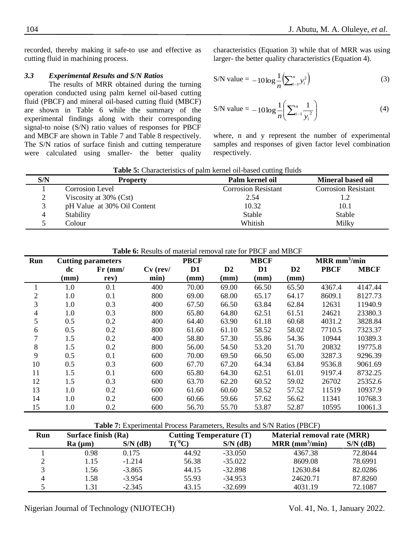recorded, thereby making it safe-to use and effective as cutting fluid in machining process.

## *3.3 Experimental Results and S/N Ratios*

The results of MRR obtained during the turning operation conducted using palm kernel oil-based cutting fluid (PBCF) and mineral oil-based cutting fluid (MBCF) are shown in Table 6 while the summary of the experimental findings along with their corresponding signal-to noise (S/N) ratio values of responses for PBCF and MBCF are shown in Table 7 and Table 8 respectively. The S/N ratios of surface finish and cutting temperature were calculated using smaller- the better quality characteristics (Equation 3) while that of MRR was using larger- the better quality characteristics (Equation 4).

S/N value = 
$$
-10 \log \frac{1}{n} \left( \sum_{i=1}^{n} y_i^2 \right)
$$
 (3)

S/N value = 
$$
-10 \log \frac{1}{n} \left( \sum_{i=1}^{n} \frac{1}{y_i^2} \right)
$$
 (4)

where, n and y represent the number of experimental samples and responses of given factor level combination respectively.

**Table 5:** Characteristics of palm kernel oil-based cutting fluids

| S/N | <b>Property</b>             | Palm kernel oil            | <b>Mineral based oil</b>   |
|-----|-----------------------------|----------------------------|----------------------------|
|     | Corrosion Level             | <b>Corrosion Resistant</b> | <b>Corrosion Resistant</b> |
|     | Viscosity at $30\%$ (Cst)   | 2.54                       | 1.2                        |
|     | pH Value at 30% Oil Content | 10.32                      | 10.1                       |
|     | Stability                   | Stable                     | Stable                     |
|     | Colour                      | Whitish                    | Milky                      |

**Table 6:** Results of material removal rate for PBCF and MBCF

| Run            | <b>Cutting parameters</b> |           |            | <b>PBCF</b>     |                | <b>MBCF</b>    | $MRR$ mm <sup>3</sup> /min |             |             |
|----------------|---------------------------|-----------|------------|-----------------|----------------|----------------|----------------------------|-------------|-------------|
|                | dc                        | $Fr$ (mm/ | $Cv$ (rev/ | D <sub>1</sub>  | D <sub>2</sub> | D <sub>1</sub> | D2                         | <b>PBCF</b> | <b>MBCF</b> |
|                | (mm)                      | rev)      | min)       | $(\mathbf{mm})$ | (mm)           | (mm)           | (mm)                       |             |             |
| 1.             | 1.0                       | 0.1       | 400        | 70.00           | 69.00          | 66.50          | 65.50                      | 4367.4      | 4147.44     |
| $\overline{2}$ | 1.0                       | 0.1       | 800        | 69.00           | 68.00          | 65.17          | 64.17                      | 8609.1      | 8127.73     |
| 3              | 1.0                       | 0.3       | 400        | 67.50           | 66.50          | 63.84          | 62.84                      | 12631       | 11940.9     |
| 4              | 1.0                       | 0.3       | 800        | 65.80           | 64.80          | 62.51          | 61.51                      | 24621       | 23380.3     |
| 5              | 0.5                       | 0.2       | 400        | 64.40           | 63.90          | 61.18          | 60.68                      | 4031.2      | 3828.84     |
| 6              | 0.5                       | 0.2       | 800        | 61.60           | 61.10          | 58.52          | 58.02                      | 7710.5      | 7323.37     |
| 7              | 1.5                       | 0.2       | 400        | 58.80           | 57.30          | 55.86          | 54.36                      | 10944       | 10389.3     |
| 8              | 1.5                       | 0.2       | 800        | 56.00           | 54.50          | 53.20          | 51.70                      | 20832       | 19775.8     |
| 9              | 0.5                       | 0.1       | 600        | 70.00           | 69.50          | 66.50          | 65.00                      | 3287.3      | 9296.39     |
| 10             | 0.5                       | 0.3       | 600        | 67.70           | 67.20          | 64.34          | 63.84                      | 9536.8      | 9061.69     |
| 11             | 1.5                       | 0.1       | 600        | 65.80           | 64.30          | 62.51          | 61.01                      | 9197.4      | 8732.25     |
| 12             | 1.5                       | 0.3       | 600        | 63.70           | 62.20          | 60.52          | 59.02                      | 26702       | 25352.6     |
| 13             | 1.0                       | 0.2       | 600        | 61.60           | 60.60          | 58.52          | 57.52                      | 11519       | 10937.9     |
| 14             | 1.0                       | 0.2       | 600        | 60.66           | 59.66          | 57.62          | 56.62                      | 11341       | 10768.3     |
| 15             | 1.0                       | 0.2       | 600        | 56.70           | 55.70          | 53.87          | 52.87                      | 10595       | 10061.3     |

| <b>Table 7:</b> Experimental Process Parameters, Results and S/N Ratios (PBCF) |  |
|--------------------------------------------------------------------------------|--|
|--------------------------------------------------------------------------------|--|

| Run               | Surface finish (Ra) |            | <b>Cutting Temperature (T)</b> |            | <b>Material removal rate (MRR)</b> |            |
|-------------------|---------------------|------------|--------------------------------|------------|------------------------------------|------------|
|                   | Ra (µm)             | $S/N$ (dB) | $T(^{0}C)$                     | $S/N$ (dB) | $MRR$ (mm <sup>3</sup> /min)       | $S/N$ (dB) |
|                   | 0.98                | 0.175      | 44.92                          | $-33.050$  | 4367.38                            | 72.8044    |
|                   | 1.15                | $-1.214$   | 56.38                          | $-35.022$  | 8609.08                            | 78.6991    |
| $\mathbf{\Omega}$ | 1.56                | $-3.865$   | 44.15                          | $-32.898$  | 12630.84                           | 82.0286    |
| 4                 | 1.58                | $-3.954$   | 55.93                          | $-34.953$  | 24620.71                           | 87.8260    |
|                   | 1.31                | $-2.345$   | 43.15                          | $-32.699$  | 4031.19                            | 72.1087    |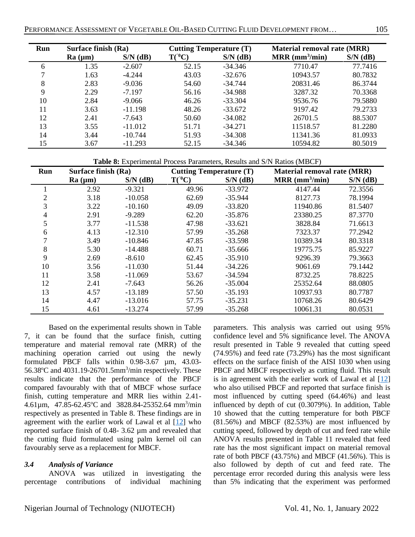| Run | Surface finish (Ra) |            | <b>Cutting Temperature (T)</b> |            |                              | <b>Material removal rate (MRR)</b> |  |  |
|-----|---------------------|------------|--------------------------------|------------|------------------------------|------------------------------------|--|--|
|     | Ra (µm)             | $S/N$ (dB) | $T(^{0}C)$                     | $S/N$ (dB) | $MRR$ (mm <sup>3</sup> /min) | $S/N$ (dB)                         |  |  |
| 6   | 1.35                | $-2.607$   | 52.15                          | $-34.346$  | 7710.47                      | 77.7416                            |  |  |
|     | 1.63                | $-4.244$   | 43.03                          | $-32.676$  | 10943.57                     | 80.7832                            |  |  |
| 8   | 2.83                | $-9.036$   | 54.60                          | $-34.744$  | 20831.46                     | 86.3744                            |  |  |
| 9   | 2.29                | $-7.197$   | 56.16                          | $-34.988$  | 3287.32                      | 70.3368                            |  |  |
| 10  | 2.84                | $-9.066$   | 46.26                          | $-33.304$  | 9536.76                      | 79.5880                            |  |  |
| 11  | 3.63                | $-11.198$  | 48.26                          | $-33.672$  | 9197.42                      | 79.2733                            |  |  |
| 12  | 2.41                | $-7.643$   | 50.60                          | $-34.082$  | 26701.5                      | 88.5307                            |  |  |
| 13  | 3.55                | $-11.012$  | 51.71                          | $-34.271$  | 11518.57                     | 81.2280                            |  |  |
| 14  | 3.44                | $-10.744$  | 51.93                          | $-34.308$  | 11341.36                     | 81.0933                            |  |  |
| 15  | 3.67                | $-11.293$  | 52.15                          | $-34.346$  | 10594.82                     | 80.5019                            |  |  |

**Table 8:** Experimental Process Parameters, Results and S/N Ratios (MBCF)

| Run | Surface finish (Ra) |            | <b>Cutting Temperature (T)</b> |            | <b>Material removal rate (MRR)</b> |            |  |
|-----|---------------------|------------|--------------------------------|------------|------------------------------------|------------|--|
|     | Ra (µm)             | $S/N$ (dB) | $T(^{0}C)$                     | $S/N$ (dB) | $MRR$ (mm <sup>3</sup> /min)       | $S/N$ (dB) |  |
|     | 2.92                | $-9.321$   | 49.96                          | $-33.972$  | 4147.44                            | 72.3556    |  |
| 2   | 3.18                | $-10.058$  | 62.69                          | $-35.944$  | 8127.73                            | 78.1994    |  |
| 3   | 3.22                | $-10.160$  | 49.09                          | $-33.820$  | 11940.86                           | 81.5407    |  |
| 4   | 2.91                | $-9.289$   | 62.20                          | $-35.876$  | 23380.25                           | 87.3770    |  |
| 5   | 3.77                | $-11.538$  | 47.98                          | $-33.621$  | 3828.84                            | 71.6613    |  |
| 6   | 4.13                | $-12.310$  | 57.99                          | $-35.268$  | 7323.37                            | 77.2942    |  |
|     | 3.49                | $-10.846$  | 47.85                          | $-33.598$  | 10389.34                           | 80.3318    |  |
| 8   | 5.30                | $-14.488$  | 60.71                          | $-35.666$  | 19775.75                           | 85.9227    |  |
| 9   | 2.69                | $-8.610$   | 62.45                          | $-35.910$  | 9296.39                            | 79.3663    |  |
| 10  | 3.56                | $-11.030$  | 51.44                          | $-34.226$  | 9061.69                            | 79.1442    |  |
| 11  | 3.58                | $-11.069$  | 53.67                          | $-34.594$  | 8732.25                            | 78.8225    |  |
| 12  | 2.41                | $-7.643$   | 56.26                          | $-35.004$  | 25352.64                           | 88.0805    |  |
| 13  | 4.57                | $-13.189$  | 57.50                          | $-35.193$  | 10937.93                           | 80.7787    |  |
| 14  | 4.47                | $-13.016$  | 57.75                          | $-35.231$  | 10768.26                           | 80.6429    |  |
| 15  | 4.61                | $-13.274$  | 57.99                          | $-35.268$  | 10061.31                           | 80.0531    |  |

Based on the experimental results shown in Table 7, it can be found that the surface finish, cutting temperature and material removal rate (MRR) of the machining operation carried out using the newly formulated PBCF falls within 0.98-3.67 µm, 43.03- 56.38 $\degree$ C and 4031.19-26701.5mm<sup>3</sup>/min respectively. These results indicate that the performance of the PBCF compared favourably with that of MBCF whose surface finish, cutting temperature and MRR lies within 2.41-  $4.61\mu$ m,  $47.85 - 62.45^{\circ}$ C and  $3828.84 - 25352.64$  mm<sup>3</sup>/min respectively as presented in Table 8. These findings are in agreement with the earlier work of Lawal et al [\[12\]](#page-12-10) who reported surface finish of 0.48- 3.62 µm and revealed that the cutting fluid formulated using palm kernel oil can favourably serve as a replacement for MBCF.

## *3.4 Analysis of Variance*

ANOVA was utilized in investigating the percentage contributions of individual machining parameters. This analysis was carried out using 95% confidence level and 5% significance level. The ANOVA result presented in Table 9 revealed that cutting speed (74.95%) and feed rate (73.29%) has the most significant effects on the surface finish of the AISI 1030 when using PBCF and MBCF respectively as cutting fluid. This result is in agreement with the earlier work of Lawal et al  $[12]$ who also utilised PBCF and reported that surface finish is most influenced by cutting speed (64.46%) and least influenced by depth of cut (0.3079%). In addition, Table 10 showed that the cutting temperature for both PBCF  $(81.56%)$  and MBCF  $(82.53%)$  are most influenced by cutting speed, followed by depth of cut and feed rate while ANOVA results presented in Table 11 revealed that feed rate has the most significant impact on material removal rate of both PBCF (43.75%) and MBCF (41.56%). This is also followed by depth of cut and feed rate. The percentage error recorded during this analysis were less than 5% indicating that the experiment was performed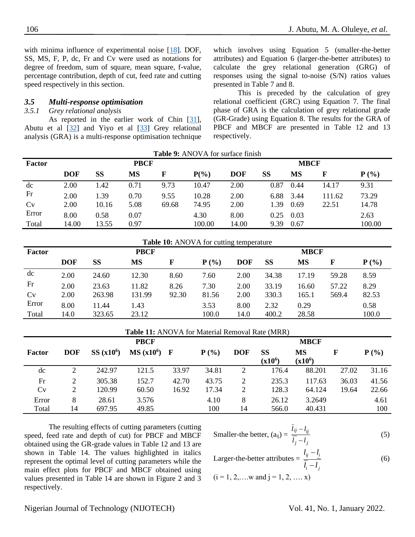with minima influence of experimental noise [\[18\]](#page-13-3). DOF, SS, MS, F, P, dc, Fr and Cv were used as notations for degree of freedom, sum of square, mean square, f-value, percentage contribution, depth of cut, feed rate and cutting speed respectively in this section.

#### *3.5 Multi-response optimisation*

## *3.5.1 Grey relational analysis*

As reported in the earlier work of Chin [\[31\]](#page-13-14), Abutu et al [\[32\]](#page-13-15) and Yiyo et al [\[33\]](#page-13-16) Grey relational analysis (GRA) is a multi-response optimisation technique which involves using Equation 5 (smaller-the-better attributes) and Equation 6 (larger-the-better attributes) to calculate the grey relational generation (GRG) of responses using the signal to-noise (S/N) ratios values presented in Table 7 and 8.

This is preceded by the calculation of grey relational coefficient (GRC) using Equation 7. The final phase of GRA is the calculation of grey relational grade (GR-Grade) using Equation 8. The results for the GRA of PBCF and MBCF are presented in Table 12 and 13 respectively.

| Table 9: ANOVA for surface finish |            |               |             |                          |                                                |            |             |             |              |         |
|-----------------------------------|------------|---------------|-------------|--------------------------|------------------------------------------------|------------|-------------|-------------|--------------|---------|
| <b>Factor</b>                     |            |               | <b>PBCF</b> |                          |                                                |            | <b>MBCF</b> |             |              |         |
|                                   | <b>DOF</b> | <b>SS</b>     | <b>MS</b>   | $\mathbf F$              | $P(\%)$                                        | <b>DOF</b> | <b>SS</b>   | MS          | $\mathbf{F}$ | $P(\%)$ |
| dc                                | 2.00       | 1.42          | 0.71        | 9.73                     | 10.47                                          | 2.00       | 0.87        | 0.44        | 14.17        | 9.31    |
| Fr                                | 2.00       | 1.39          | 0.70        | 9.55                     | 10.28                                          | 2.00       | 6.88        | 3.44        | 111.62       | 73.29   |
| Cv                                | 2.00       | 10.16         | 5.08        | 69.68                    | 74.95                                          | 2.00       | 1.39        | 0.69        | 22.51        | 14.78   |
| Error                             | 8.00       | 0.58          | 0.07        |                          | 4.30                                           | 8.00       | 0.25        | 0.03        |              | 2.63    |
| Total                             | 14.00      | 13.55         | 0.97        |                          | 100.00                                         | 14.00      | 9.39        | 0.67        |              | 100.00  |
|                                   |            |               |             |                          |                                                |            |             |             |              |         |
|                                   |            |               |             |                          | <b>Table 10:</b> ANOVA for cutting temperature |            |             |             |              |         |
| <b>Factor</b>                     |            |               | <b>PBCF</b> |                          |                                                |            |             | <b>MBCF</b> |              |         |
|                                   | ---        | $\sim$ $\sim$ | $- - -$     | $\overline{\phantom{a}}$ |                                                | ---        | $\sim$      | - -~        |              | - - -   |

| Factor |            |        | PBCF      |       |         |            |           | <b>MBCF</b> |       |         |  |
|--------|------------|--------|-----------|-------|---------|------------|-----------|-------------|-------|---------|--|
|        | <b>DOF</b> | SS     | <b>MS</b> | F     | $P(\%)$ | <b>DOF</b> | <b>SS</b> | MS          |       | $P(\%)$ |  |
| dc     | 2.00       | 24.60  | 12.30     | 8.60  | 7.60    | 2.00       | 34.38     | 17.19       | 59.28 | 8.59    |  |
| Fr     | 2.00       | 23.63  | 11.82     | 8.26  | 7.30    | 2.00       | 33.19     | 16.60       | 57.22 | 8.29    |  |
| Cv     | 2.00       | 263.98 | 131.99    | 92.30 | 81.56   | 2.00       | 330.3     | 165.1       | 569.4 | 82.53   |  |
| Error  | 8.00       | 1.44   | 1.43      |       | 3.53    | 8.00       | 2.32      | 0.29        |       | 0.58    |  |
| Total  | 14.0       | 323.65 | 23.12     |       | 100.0   | 14.0       | 400.2     | 28.58       |       | 100.0   |  |

|             | <b>Table 11:</b> ANOVA for Material Removal Rate (MRR) |                       |               |       |         |             |                 |                        |       |         |
|-------------|--------------------------------------------------------|-----------------------|---------------|-------|---------|-------------|-----------------|------------------------|-------|---------|
| <b>PBCF</b> |                                                        |                       |               |       |         | <b>MBCF</b> |                 |                        |       |         |
| Factor      | <b>DOF</b>                                             | SS(x10 <sup>6</sup> ) | $MS(x10^6)$ F |       | $P(\%)$ | <b>DOF</b>  | SS<br>$(x10^6)$ | <b>MS</b><br>$(x10^6)$ | F     | $P(\%)$ |
| dc          | 2                                                      | 242.97                | 121.5         | 33.97 | 34.81   | 2           | 176.4           | 88.201                 | 27.02 | 31.16   |
| Fr          | 2                                                      | 305.38                | 152.7         | 42.70 | 43.75   | 2           | 235.3           | 117.63                 | 36.03 | 41.56   |
| Cv          | 2                                                      | 120.99                | 60.50         | 16.92 | 17.34   | 2           | 128.3           | 64.124                 | 19.64 | 22.66   |
| Error       | 8                                                      | 28.61                 | 3.576         |       | 4.10    | 8           | 26.12           | 3.2649                 |       | 4.61    |
| Total       | 14                                                     | 697.95                | 49.85         |       | 100     | 14          | 566.0           | 40.431                 |       | 100     |

The resulting effects of cutting parameters (cutting speed, feed rate and depth of cut) for PBCF and MBCF obtained using the GR-grade values in Table 12 and 13 are shown in Table 14. The values highlighted in italics represent the optimal level of cutting parameters while the main effect plots for PBCF and MBCF obtained using values presented in Table 14 are shown in Figure 2 and 3 respectively.

Smaller-the better, 
$$
(a_{ij}) = \frac{l_{ij} - l_{ij}}{\overline{l_j} - l_j}
$$
 (5)

Larger-the-better attributes 
$$
= \frac{l_{ij} - l_i}{\overline{l_i} - l_j}
$$
 (6)

$$
(i = 1, 2, \dots w
$$
 and  $j = 1, 2, \dots x)$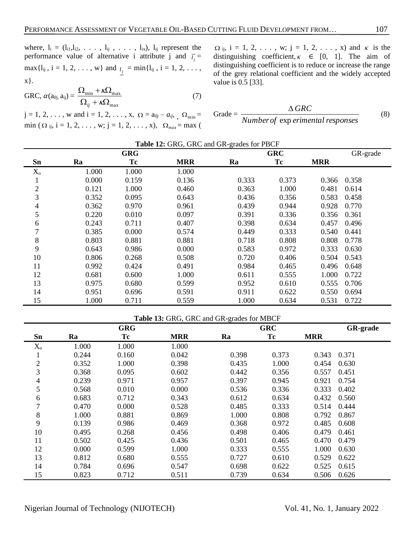where,  $l_i = (l_{i1}, l_{i2}, \ldots, l_{ij}, \ldots, l_{ix}), l_{ij}$  represent the performance value of alternative i attribute j and  $\bar{i}_j =$  $max{1_{ij}, i = 1, 2, ..., w}$  and  $i_j = min{1_{ij}, i = 1, 2, ...,}$ x}.

$$
GRC, \alpha(a_{0j}, a_{ij}) = \frac{\Omega_{\min} + \kappa \Omega_{\max}}{\Omega_{ij} + \kappa \Omega_{\max}}
$$
(7)

 $j = 1, 2, ...,$  w and  $i = 1, 2, ..., x, \Omega = a_{0j} - a_{ij}, \Omega_{\min} =$  $\min (\Omega_{ij}, i = 1, 2, \dots, w; j = 1, 2, \dots, x), \Omega_{nax} = \max ($ 

 $\Omega$ <sub>ij</sub>, i = 1, 2, ..., w; j = 1, 2, ..., x) and  $\kappa$  is the distinguishing coefficient,  $\kappa \in [0, 1]$ . The aim of distinguishing coefficient is to reduce or increase the range of the grey relational coefficient and the widely accepted value is 0.5 [33].

$$
Grade = \frac{\Delta GRC}{Number of \exp\text{erimental responses}} \tag{8}
$$

|  |  | Table 12: GRG, GRC and GR-grades for PBCF |  |
|--|--|-------------------------------------------|--|
|--|--|-------------------------------------------|--|

|                |       | <b>GRG</b> |            |       | <b>GRC</b> |            | GR-grade |
|----------------|-------|------------|------------|-------|------------|------------|----------|
| Sn             | Ra    | Tc         | <b>MRR</b> | Ra    | <b>Tc</b>  | <b>MRR</b> |          |
| $X_{o}$        | 1.000 | 1.000      | 1.000      |       |            |            |          |
| Ŧ.             | 0.000 | 0.159      | 0.136      | 0.333 | 0.373      | 0.366      | 0.358    |
| $\overline{2}$ | 0.121 | 1.000      | 0.460      | 0.363 | 1.000      | 0.481      | 0.614    |
| 3              | 0.352 | 0.095      | 0.643      | 0.436 | 0.356      | 0.583      | 0.458    |
| 4              | 0.362 | 0.970      | 0.961      | 0.439 | 0.944      | 0.928      | 0.770    |
| 5              | 0.220 | 0.010      | 0.097      | 0.391 | 0.336      | 0.356      | 0.361    |
| 6              | 0.243 | 0.711      | 0.407      | 0.398 | 0.634      | 0.457      | 0.496    |
| 7              | 0.385 | 0.000      | 0.574      | 0.449 | 0.333      | 0.540      | 0.441    |
| 8              | 0.803 | 0.881      | 0.881      | 0.718 | 0.808      | 0.808      | 0.778    |
| 9              | 0.643 | 0.986      | 0.000      | 0.583 | 0.972      | 0.333      | 0.630    |
| 10             | 0.806 | 0.268      | 0.508      | 0.720 | 0.406      | 0.504      | 0.543    |
| 11             | 0.992 | 0.424      | 0.491      | 0.984 | 0.465      | 0.496      | 0.648    |
| 12             | 0.681 | 0.600      | 1.000      | 0.611 | 0.555      | 1.000      | 0.722    |
| 13             | 0.975 | 0.680      | 0.599      | 0.952 | 0.610      | 0.555      | 0.706    |
| 14             | 0.951 | 0.696      | 0.591      | 0.911 | 0.622      | 0.550      | 0.694    |
| 15             | 1.000 | 0.711      | 0.559      | 1.000 | 0.634      | 0.531      | 0.722    |

|                | Table 13: GRG, GRC and GR-grades for MBCF |       |            |       |           |                 |       |
|----------------|-------------------------------------------|-------|------------|-------|-----------|-----------------|-------|
|                | <b>GRG</b><br><b>GRC</b>                  |       |            |       |           | <b>GR-grade</b> |       |
| Sn             | Ra                                        | Tc    | <b>MRR</b> | Ra    | <b>Tc</b> | <b>MRR</b>      |       |
| $X_{o}$        | 1.000                                     | 1.000 | 1.000      |       |           |                 |       |
| 1              | 0.244                                     | 0.160 | 0.042      | 0.398 | 0.373     | 0.343           | 0.371 |
| $\overline{c}$ | 0.352                                     | 1.000 | 0.398      | 0.435 | 1.000     | 0.454           | 0.630 |
| 3              | 0.368                                     | 0.095 | 0.602      | 0.442 | 0.356     | 0.557           | 0.451 |
| 4              | 0.239                                     | 0.971 | 0.957      | 0.397 | 0.945     | 0.921           | 0.754 |
| 5              | 0.568                                     | 0.010 | 0.000      | 0.536 | 0.336     | 0.333           | 0.402 |
| 6              | 0.683                                     | 0.712 | 0.343      | 0.612 | 0.634     | 0.432           | 0.560 |
| 7              | 0.470                                     | 0.000 | 0.528      | 0.485 | 0.333     | 0.514           | 0.444 |
| 8              | 1.000                                     | 0.881 | 0.869      | 1.000 | 0.808     | 0.792           | 0.867 |
| 9              | 0.139                                     | 0.986 | 0.469      | 0.368 | 0.972     | 0.485           | 0.608 |
| 10             | 0.495                                     | 0.268 | 0.456      | 0.498 | 0.406     | 0.479           | 0.461 |
| 11             | 0.502                                     | 0.425 | 0.436      | 0.501 | 0.465     | 0.470           | 0.479 |
| 12             | 0.000                                     | 0.599 | 1.000      | 0.333 | 0.555     | 1.000           | 0.630 |
| 13             | 0.812                                     | 0.680 | 0.555      | 0.727 | 0.610     | 0.529           | 0.622 |
| 14             | 0.784                                     | 0.696 | 0.547      | 0.698 | 0.622     | 0.525           | 0.615 |
| 15             | 0.823                                     | 0.712 | 0.511      | 0.739 | 0.634     | 0.506           | 0.626 |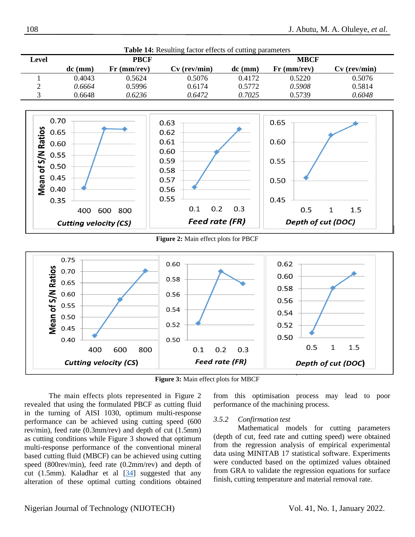

**Figure 3:** Main effect plots for MBCF

The main effects plots represented in Figure 2 revealed that using the formulated PBCF as cutting fluid in the turning of AISI 1030, optimum multi-response performance can be achieved using cutting speed (600 rev/min), feed rate (0.3mm/rev) and depth of cut (1.5mm) as cutting conditions while Figure 3 showed that optimum multi-response performance of the conventional mineral based cutting fluid (MBCF) can be achieved using cutting speed (800rev/min), feed rate (0.2mm/rev) and depth of cut (1.5mm). Kaladhar et al  $[34]$  suggested that any alteration of these optimal cutting conditions obtained

from this optimisation process may lead to poor performance of the machining process.

#### *3.5.2 Confirmation test*

Mathematical models for cutting parameters (depth of cut, feed rate and cutting speed) were obtained from the regression analysis of empirical experimental data using MINITAB 17 statistical software. Experiments were conducted based on the optimized values obtained from GRA to validate the regression equations for surface finish, cutting temperature and material removal rate.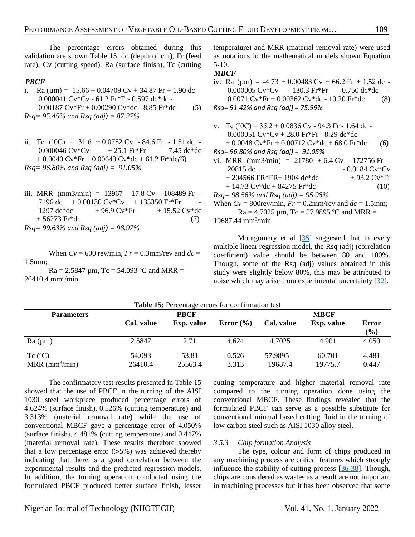The percentage errors obtained during this validation are shown Table 15. dc (depth of cut), Fr (feed rate), Cv (cutting speed), Ra (surface finish), Tc (cutting

# *PBCF*

- i. Ra ( $\mu$ m) = -15.66 + 0.04709 Cv + 34.87 Fr + 1.90 dc -0.000041 Cv\*Cv - 61.2 Fr\*Fr- 0.597 dc\*dc - 0.00187 Cv\*Fr + 0.00290 Cv\*dc - 8.85 Fr\*dc(5) *Rsq= 95.45% and Rsq (adj) = 87.27%*
- ii. Tc ( $^{\circ}0C$ ) = 31.6 + 0.0752 Cv 84.6 Fr 1.51 dc - $0.000046 \text{ Cv*}$ Cv  $+ 25.1 \text{ Fr*}$   $- 7.45 \text{ dc*}$ dc + 0.0040 Cv\*Fr + 0.00643 Cv\*dc + 61.2 Fr\*dc*(*6) *Rsq= 96.80% and Rsq (adj) = 91.05%*
- iii. MRR (mm3/min) = 13967 17.8 Cv 108489 Fr 7196 dc  $+0.00130 \text{ Cv*}$ Cv  $+135350 \text{ Fr*}$ Fr  $1297 \text{ dc}^* \text{dc}$  + 96.9 Cv\*Fr + 15.52 Cv\*dc  $+ 56273 \text{ Fr}^* \text{dc}$  (7) *Rsq= 99.63% and Rsq (adj) = 98.97%*

When  $Cv = 600$  rev/min,  $Fr = 0.3$ mm/rev and  $dc =$ 1.5mm;

 $Ra = 2.5847 \mu m$ , Tc = 54.093 °C and MRR =  $26410.4 \text{ mm}^3/\text{min}$ 

temperature) and MRR (material removal rate) were used as notations in the mathematical models shown Equation 5-10.

## *MBCF*

iv. Ra ( $\mu$ m) = -4.73 + 0.00483 Cv + 66.2 Fr + 1.52 dc -0.000005 Cv\*Cv - 130.3 Fr\*Fr - 0.750 dc\*dc -0.0071  $Cv*Fr + 0.00362 Cv*dc - 10.20 Fr*dc$  (8) *Rsq= 91.42% and Rsq (adj) = 75.99%*

- v. Tc ( $^{\circ}0C$ ) = 35.2 + 0.0836 Cv 94.3 Fr 1.64 dc -0.000051 Cv\*Cv + 28.0 Fr\*Fr - 8.29 dc\*dc  $+ 0.0048 \text{ Cv*Fr} + 0.00712 \text{ Cv*dc} + 68.0 \text{ Fr*dc}$  (6) *Rsq= 96.80% and Rsq (adj) = 91.05%* vi. MRR  $(mm3/min) = 21780 + 6.4$  Cv - 172756 Fr -20815 dc  $-0.0184 \text{ Cv*}$ Cv  $+ 204566$  FR\*FR $+ 1904$  dc\*dc  $+ 93.2$  Cv\*Fr
	- $+ 14.73 \text{ Cv*dc} + 84275 \text{ Fr*dc}$  (10)

*Rsq= 98.56% and Rsq (adj) = 95.98%*

When  $Cv = 800$ rev/min,  $Fr = 0.2$ mm/rev and  $dc = 1.5$ mm;  $Ra = 4.7025 \mu m$ , Tc = 57.9895 °C and MRR = 19687.44 mm<sup>3</sup> /min

Montgomery et al  $[35]$  suggested that in every multiple linear regression model, the Rsq (adj) (correlation coefficient) value should be between 80 and 100%. Though, some of the Rsq (adj) values obtained in this study were slightly below 80%, this may be attributed to noise which may arise from experimental uncertainty [\[32\]](#page-13-15).

| <b>Table 15:</b> Percentage errors for confirmation test |                   |                  |                |                    |                   |                |  |
|----------------------------------------------------------|-------------------|------------------|----------------|--------------------|-------------------|----------------|--|
| <b>PBCF</b><br><b>Parameters</b>                         |                   |                  |                | <b>MBCF</b>        |                   |                |  |
|                                                          | Cal. value        | Exp. value       | Error $(\% )$  | Cal. value         | Exp. value        | Error<br>(%)   |  |
| Ra (µm)                                                  | 2.5847            | 2.71             | 4.624          | 4.7025             | 4.901             | 4.050          |  |
| Tc $(^{\circ}C)$<br>MRR ( $mm^3/min$ )                   | 54.093<br>26410.4 | 53.81<br>25563.4 | 0.526<br>3.313 | 57.9895<br>19687.4 | 60.701<br>19775.7 | 4.481<br>0.447 |  |

The confirmatory test results presented in Table 15 showed that the use of PBCF in the turning of the AISI 1030 steel workpiece produced percentage errors of 4.624% (surface finish), 0.526% (cutting temperature) and 3.313% (material removal rate) while the use of conventional MBCF gave a percentage error of 4.050% (surface finish), 4.481% (cutting temperature) and 0.447% (material removal rate). These results therefore showed that a low percentage error  $(>5%)$  was achieved thereby indicating that there is a good correlation between the experimental results and the predicted regression models. In addition, the turning operation conducted using the formulated PBCF produced better surface finish, lesser

cutting temperature and higher material removal rate compared to the turning operation done using the conventional MBCF. These findings revealed that the formulated PBCF can serve as a possible substitute for conventional mineral based cutting fluid in the turning of low carbon steel such as AISI 1030 alloy steel.

## *3.5.3 Chip formation Analysis*

The type, colour and form of chips produced in any machining process are critical features which strongly influence the stability of cutting process [\[36-38\]](#page-14-0). Though, chips are considered as wastes as a result are not important in machining processes but it has been observed that some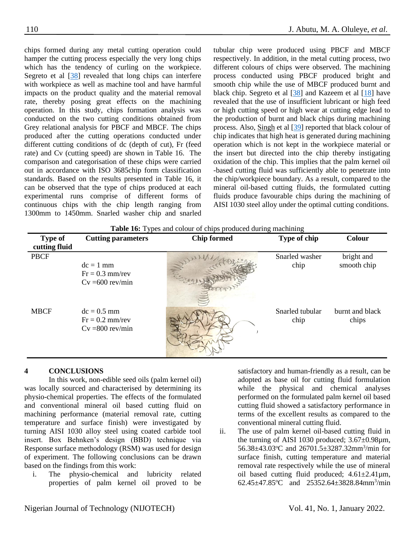chips formed during any metal cutting operation could hamper the cutting process especially the very long chips which has the tendency of curling on the workpiece. Segreto et al [\[38\]](#page-14-1) revealed that long chips can interfere with workpiece as well as machine tool and have harmful impacts on the product quality and the material removal rate, thereby posing great effects on the machining operation. In this study, chips formation analysis was conducted on the two cutting conditions obtained from Grey relational analysis for PBCF and MBCF. The chips produced after the cutting operations conducted under different cutting conditions of dc (depth of cut), Fr (feed rate) and Cv (cutting speed) are shown in Table 16. The comparison and categorisation of these chips were carried out in accordance with ISO 3685chip form classification standards. Based on the results presented in Table 16, it can be observed that the type of chips produced at each experimental runs comprise of different forms of continuous chips with the chip length ranging from 1300mm to 1450mm. Snarled washer chip and snarled tubular chip were produced using PBCF and MBCF respectively. In addition, in the metal cutting process, two different colours of chips were observed. The machining process conducted using PBCF produced bright and smooth chip while the use of MBCF produced burnt and black chip. Segreto et al [\[38\]](#page-14-1) and Kazeem et al [\[18\]](#page-13-3) have revealed that the use of insufficient lubricant or high feed or high cutting speed or high wear at cutting edge lead to the production of burnt and black chips during machining process. Also, [Singh](javascript:;) et al [\[39\]](#page-14-3) reported that black colour of chip indicates that high heat is generated during machining operation which is not kept in the workpiece material or the insert but directed into the chip thereby instigating oxidation of the chip. This implies that the palm kernel oil -based cutting fluid was sufficiently able to penetrate into the chip/workpiece boundary. As a result, compared to the mineral oil-based cutting fluids, the formulated cutting fluids produce favourable chips during the machining of AISI 1030 steel alloy under the optimal cutting conditions.

**Table 16:** Types and colour of chips produced during machining

| <b>Type of</b><br>cutting fluid | <b>Cutting parameters</b>                                | <b>Chip formed</b> | Type of chip            | <b>Colour</b>             |
|---------------------------------|----------------------------------------------------------|--------------------|-------------------------|---------------------------|
| <b>PBCF</b>                     | $dc = 1$ mm<br>$Fr = 0.3$ mm/rev<br>$Cv = 600$ rev/min   |                    | Snarled washer<br>chip  | bright and<br>smooth chip |
| <b>MBCF</b>                     | $dc = 0.5$ mm<br>$Fr = 0.2$ mm/rev<br>$Cv = 800$ rev/min |                    | Snarled tubular<br>chip | burnt and black<br>chips  |

## **4 CONCLUSIONS**

In this work, non-edible seed oils (palm kernel oil) was locally sourced and characterised by determining its physio-chemical properties. The effects of the formulated and conventional mineral oil based cutting fluid on machining performance (material removal rate, cutting temperature and surface finish) were investigated by turning AISI 1030 alloy steel using coated carbide tool insert. Box Behnken's design (BBD) technique via Response surface methodology (RSM) was used for design of experiment. The following conclusions can be drawn based on the findings from this work:

i. The physio-chemical and lubricity related properties of palm kernel oil proved to be

satisfactory and human-friendly as a result, can be adopted as base oil for cutting fluid formulation while the physical and chemical analyses performed on the formulated palm kernel oil based cutting fluid showed a satisfactory performance in terms of the excellent results as compared to the conventional mineral cutting fluid.

ii. The use of palm kernel oil-based cutting fluid in the turning of AISI 1030 produced;  $3.67 \pm 0.98 \mu m$ , 56.38±43.03°C and 26701.5±3287.32mm<sup>3</sup>/min for surface finish, cutting temperature and material removal rate respectively while the use of mineral oil based cutting fluid produced;  $4.61 \pm 2.41 \mu m$ , 62.45 $\pm$ 47.85°C and 25352.64 $\pm$ 3828.84mm<sup>3</sup>/min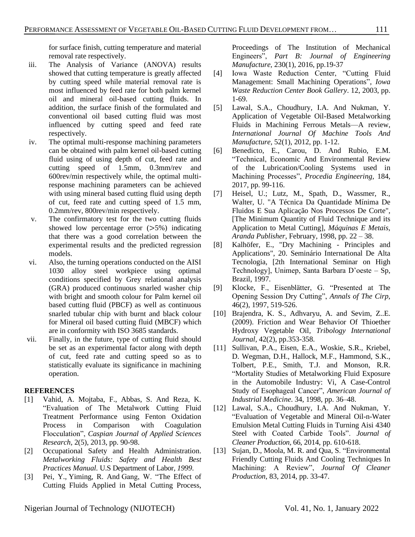for surface finish, cutting temperature and material removal rate respectively.

- iii. The Analysis of Variance (ANOVA) results showed that cutting temperature is greatly affected by cutting speed while material removal rate is most influenced by feed rate for both palm kernel oil and mineral oil-based cutting fluids. In addition, the surface finish of the formulated and conventional oil based cutting fluid was most influenced by cutting speed and feed rate respectively.
- iv. The optimal multi-response machining parameters can be obtained with palm kernel oil-based cutting fluid using of using depth of cut, feed rate and cutting speed of 1.5mm, 0.3mm/rev and 600rev/min respectively while, the optimal multiresponse machining parameters can be achieved with using mineral based cutting fluid using depth of cut, feed rate and cutting speed of 1.5 mm, 0.2mm/rev, 800rev/min respectively.
- v. The confirmatory test for the two cutting fluids showed low percentage error  $(>5%)$  indicating that there was a good correlation between the experimental results and the predicted regression models.
- vi. Also, the turning operations conducted on the AISI 1030 alloy steel workpiece using optimal conditions specified by Grey relational analysis (GRA) produced continuous snarled washer chip with bright and smooth colour for Palm kernel oil based cutting fluid (PBCF) as well as continuous snarled tubular chip with burnt and black colour for Mineral oil based cutting fluid (MBCF) which are in conformity with ISO 3685 standards.
- vii. Finally, in the future, type of cutting fluid should be set as an experimental factor along with depth of cut, feed rate and cutting speed so as to statistically evaluate its significance in machining operation.

## **REFERENCES**

- <span id="page-12-0"></span>[1] Vahid, A. Mojtaba, F., Abbas, S. And Reza, K. "Evaluation of The Metalwork Cutting Fluid Treatment Performance using Fenton Oxidation Process in Comparison with Coagulation Flocculation", *Caspian Journal of Applied Sciences Research,* 2(5), 2013, pp. 90-98.
- <span id="page-12-1"></span>[2] Occupational Safety and Health Administration. *Metalworking Fluids: Safety and Health Best Practices Manual.* U.S Department of Labor, *1999*.
- <span id="page-12-2"></span>[3] Pei, Y., Yiming, R. And Gang, W. "The Effect of Cutting Fluids Applied in Metal Cutting Process,

Proceedings of The Institution of Mechanical Engineers", *Part B: Journal of Engineering Manufacture,* 230(1), 2016, pp.19-37

- <span id="page-12-3"></span>[4] Iowa Waste Reduction Center, "Cutting Fluid Management: Small Machining Operations", *Iowa Waste Reduction Center Book Gallery*. 12, 2003, pp. 1-69.
- <span id="page-12-4"></span>[5] [Lawal,](https://www.sciencedirect.com/science/article/abs/pii/S0890695511001726#!) S.A., [Choudhury,](https://www.sciencedirect.com/science/article/abs/pii/S0890695511001726#!) I.A. And [Nukman,](https://www.sciencedirect.com/science/article/abs/pii/S0890695511001726#!) Y. Application of Vegetable Oil-Based Metalworking Fluids in Machining Ferrous Metals—A review, *[International Journal Of Machine Tools And](https://www.sciencedirect.com/science/journal/08906955)  [Manufacture,](https://www.sciencedirect.com/science/journal/08906955)* [52\(1\),](https://www.sciencedirect.com/science/journal/08906955/52/1) 2012, pp. 1-12.
- <span id="page-12-5"></span>[6] [Benedicto,](https://www.sciencedirect.com/science/article/pii/S1877705817315801#!) E., [Carou,](https://www.sciencedirect.com/science/article/pii/S1877705817315801#!) D. And [Rubio,](https://www.sciencedirect.com/science/article/pii/S1877705817315801#!) E.M. "Technical, Economic And Environmental Review of the Lubrication/Cooling Systems used in Machining Processes", *[Procedia Engineering,](https://www.sciencedirect.com/science/journal/18777058)* [184,](https://www.sciencedirect.com/science/journal/18777058/184/supp/C) 2017, pp. 99-116.
- <span id="page-12-6"></span>[7] Heisel, U.; Lutz, M., Spath, D., Wassmer, R., Walter, U. "A Técnica Da Quantidade Mínima De Fluidos E Sua Aplicação Nos Processos De Corte", [The Minimum Quantity of Fluid Technique and its Application to Metal Cutting], *Máquinas E Metais, Aranda Publisher*, February, 1998, pp. 22 – 38.
- [8] Kalhöfer, E., "Dry Machining Principles and Applications", 20. Seminário International De Alta Tecnologia, [2th International Seminar on High Technology], Unimep, Santa Barbara D'oeste – Sp, Brazil, 1997.
- <span id="page-12-7"></span>[9] Klocke, F., Eisenblätter, G. "Presented at The Opening Session Dry Cutting", *Annals of The Cirp,* 46(2), 1997, 519-526.
- <span id="page-12-8"></span>[10] [Brajendra, K. S.](https://www.sciencedirect.com/science/article/abs/pii/S0301679X08001606#!), [Adhvaryu,](https://www.sciencedirect.com/science/article/abs/pii/S0301679X08001606#!) A. and [Sevim, Z..E.](https://www.sciencedirect.com/science/article/abs/pii/S0301679X08001606#!) (2009). Friction and Wear Behavior Of Thioether Hydroxy Vegetable Oil*, [Tribology International](https://www.sciencedirect.com/science/journal/0301679X) Journal*, [42\(2\)](https://www.sciencedirect.com/science/journal/0301679X/42/2), pp.353-358.
- <span id="page-12-9"></span>[11] Sullivan, P.A., Eisen, E.A., Woskie, S.R., Kriebel, D. Wegman, D.H., Hallock, M.F., Hammond, S.K., Tolbert, P.E., Smith, T.J. and Monson, R.R. "Mortality Studies of Metalworking Fluid Exposure in the Automobile Industry: Vi, A Case-Control Study of Esophageal Cancer", *American Journal of Industrial Medicine.* 34, 1998, pp. 36–48.
- <span id="page-12-10"></span>[12] Lawal, S.A., Choudhury, I.A. And Nukman, Y. "Evaluation of Vegetable and Mineral Oil-n-Water Emulsion Metal Cutting Fluids in Turning Aisi 4340 Steel with Coated Carbide Tools". *Journal of Cleaner Production,* 66, 2014, pp. 610-618.
- <span id="page-12-11"></span>[13] [Sujan, D.](https://www.sciencedirect.com/science/article/abs/pii/S0959652614007999#!), [Moola, M. R.](https://www.sciencedirect.com/science/article/abs/pii/S0959652614007999#!) and [Qua, S.](https://www.sciencedirect.com/science/article/abs/pii/S0959652614007999#!) "Environmental Friendly Cutting Fluids And Cooling Techniques In Machining: A Review", *[Journal Of Cleaner](https://www.sciencedirect.com/science/journal/09596526)  [Production,](https://www.sciencedirect.com/science/journal/09596526)* [83,](https://www.sciencedirect.com/science/journal/09596526/83/supp/C) 2014, pp. 33-47.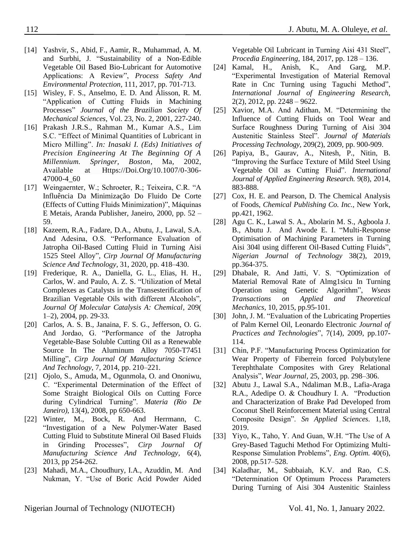- [14] [Yashvir, S.](https://www.sciencedirect.com/science/article/abs/pii/S0957582017302963#!), [Abid, F.](https://www.sciencedirect.com/science/article/abs/pii/S0957582017302963#!), [Aamir, R., Muhammad, A. M.](https://www.sciencedirect.com/science/article/abs/pii/S0957582017302963#!) and [Surbhi, J.](https://www.sciencedirect.com/science/article/abs/pii/S0957582017302963#!) "Sustainability of a Non-Edible Vegetable Oil Based Bio-Lubricant for Automotive Applications: A Review", *[Process Safety And](https://www.sciencedirect.com/science/journal/09575820)  [Environmental Protection,](https://www.sciencedirect.com/science/journal/09575820)* [111,](https://www.sciencedirect.com/science/journal/09575820/111/supp/C) 2017, pp. 701-713.
- <span id="page-13-0"></span>[15] Wisley, F. S., Anselmo, E. D. And Álisson, R. M. "Application of Cutting Fluids in Machining Processes" *Journal [of the Brazilian Society Of](http://www.scielo.br/scielo.php?script=sci_serial&pid=0100-7386&lng=en&nrm=iso)  [Mechanical Sciences](http://www.scielo.br/scielo.php?script=sci_serial&pid=0100-7386&lng=en&nrm=iso)*, Vol. 23, No. 2, 2001, 227-240.
- <span id="page-13-1"></span>[16] Prakash J.R.S., Rahman M., Kumar A.S., Lim S.C. "Effect of Minimal Quantities of Lubricant in Micro Milling". *In: Inasaki I. (Eds) Initiatives of Precision Engineering At The Beginning Of A Millennium. Springer, Boston*, Ma, 2002, Available at [Https://Doi.Org/10.1007/0-306-](https://doi.org/10.1007/0-306-47000-4_60) [47000-4\\_60](https://doi.org/10.1007/0-306-47000-4_60)
- <span id="page-13-2"></span>[17] Weingaernter, W.; Schroeter, R.; Teixeira, C.R. "A Influência Da Minimização Do Fluido De Corte (Effects of Cutting Fluids Minimization)", Máquinas E Metais, Aranda Publisher, Janeiro, 2000, pp. 52 – 59.
- <span id="page-13-3"></span>[18] Kazeem, R.A., Fadare, D.A., Abutu, J., Lawal, S.A. And Adesina, O.S. ["Performance Evaluation of](https://www.sciencedirect.com/science/article/pii/S175558172030081X)  [Jatropha Oil-Based Cutting Fluid in Turning Aisi](https://www.sciencedirect.com/science/article/pii/S175558172030081X)  [1525 Steel Alloy"](https://www.sciencedirect.com/science/article/pii/S175558172030081X), *Cirp Journal Of Manufacturing Science And Technology*, 31, 2020, pp. 418–430.
- [19] [Frederique, R. A.,](https://www.sciencedirect.com/science/article/abs/pii/S1381116903005818#!) [Daniella, G. L.](https://www.sciencedirect.com/science/article/abs/pii/S1381116903005818#!), [Elias, H. H.,](https://www.sciencedirect.com/science/article/abs/pii/S1381116903005818#!) [Carlos, W.](https://www.sciencedirect.com/science/article/abs/pii/S1381116903005818#!) and [Paulo, A. Z. S.](https://www.sciencedirect.com/science/article/abs/pii/S1381116903005818#!) "Utilization of Metal Complexes as Catalysts in the Transesterification of Brazilian Vegetable Oils with different Alcohols", *[Journal Of Molecular Catalysis A: Chemical,](https://www.sciencedirect.com/science/journal/13811169)* [209\(](https://www.sciencedirect.com/science/journal/13811169/209/1) [1–2\)](https://www.sciencedirect.com/science/journal/13811169/209/1), 2004, pp. 29-33.
- <span id="page-13-4"></span>[20] Carlos, A. S. B., Janaina, F. S. G., Jefferson, O. G. And Jordao, G. "Performance of the Jatropha Vegetable-Base Soluble Cutting Oil as a Renewable Source In The Aluminum Alloy 7050-T7451 Milling", *Cirp Journal Of Manufacturing Science And Technology*, 7, 2014, pp. 210–221.
- <span id="page-13-5"></span>[21] Ojolo, S., Amuda, M., Ogunmola, O. and Ononiwu, C. "Experimental Determination of the Effect of Some Straight Biological Oils on Cutting Force during Cylindrical Turning". *Materia (Rio De Janeiro),* 13(4), 2008, pp 650-663.
- <span id="page-13-6"></span>[22] [Winter,](https://www.sciencedirect.com/science/article/abs/pii/S1755581713000540#!) M., [Bock,](https://www.sciencedirect.com/science/article/abs/pii/S1755581713000540#!) R. And [Herrmann,](https://www.sciencedirect.com/science/article/abs/pii/S1755581713000540#!) C. "Investigation of a New Polymer-Water Based Cutting Fluid to Substitute Mineral Oil Based Fluids in Grinding Processes", *[Cirp Journal Of](https://www.sciencedirect.com/science/journal/17555817)  [Manufacturing Science And Technology,](https://www.sciencedirect.com/science/journal/17555817)* [6\(4\),](https://www.sciencedirect.com/science/journal/17555817/6/4)  2013, pp 254-262.
- <span id="page-13-7"></span>[23] Mahadi, M.A., Choudhury, I.A., Azuddin, M. And Nukman, Y. "Use of Boric Acid Powder Aided

Vegetable Oil Lubricant in Turning Aisi 431 Steel", *Procedia Engineering*, 184, 2017, pp. 128 – 136.

- <span id="page-13-8"></span>[24] Kamal, H., Anish, K., And Garg, M.P. "Experimental Investigation of Material Removal Rate in Cnc Turning using Taguchi Method", *International Journal of Engineering Research*, 2(2), 2012, pp. 2248 – 9622.
- <span id="page-13-9"></span>[25] Xavior, M.A. And Adithan, M. "Determining the Influence of Cutting Fluids on Tool Wear and Surface Roughness During Turning of Aisi 304 Austenitic Stainless Steel". *Journal of Materials Processing Technology,* 209(2), 2009, pp. 900-909.
- [26] Papiya, B., Gaurav, A., Nitesh, P., Nitin, B. "Improving the Surface Texture of Mild Steel Using Vegetable Oil as Cutting Fluid". *International Journal of Applied Engineering Research.* 9(8), 2014, 883-888.
- <span id="page-13-10"></span>[27] Cox, H. E. and Pearson, D. The Chemical Analysis of Foods, *Chemical Publishing Co. Inc.,* New York, pp.421, 1962.
- <span id="page-13-11"></span>[28] Agu C. K., Lawal S. A., Abolarin M. S., Agboola J. B., Abutu J. And Awode E. I. "Multi-Response Optimisation of Machining Parameters in Turning Aisi 304l using different Oil-Based Cutting Fluids", *Nigerian Journal of Technology* 38(2), 2019, pp.364-375.
- <span id="page-13-12"></span>[29] Dhabale, R. And Jatti, V. S. "Optimization of Material Removal Rate of Almg1sicu In Turning Operation using Genetic Algorithm", *Wseas Transactions on Applied and Theoretical Mechanics,* 10, 2015, pp.95-101.
- <span id="page-13-13"></span>[30] John, J. M. "Evaluation of the Lubricating Properties of Palm Kernel Oil, Leonardo Electronic *Journal of Practices and Technologies*", 7(14), 2009, pp.107- 114.
- <span id="page-13-14"></span>[31] Chin, P.F. "Manufacturing Process Optimization for Wear Property of Fiberrein forced Polybutylene Terephthalate Composites with Grey Relational Analysis", *Wear Journal,* 25, 2003, pp. 298–306.
- <span id="page-13-15"></span>[32] Abutu J., Lawal S.A., Ndaliman M.B., Lafia-Araga R.A., Adedipe O. & Choudhury I. A. "Production and Characterization of Brake Pad Developed from Coconut Shell Reinforcement Material using Central Composite Design". *Sn Applied Sciences.* 1,18, 2019.
- <span id="page-13-16"></span>[33] Yiyo, K., Taho, Y. And Guan, W.H. "The Use of A Grey-Based Taguchi Method For Optimizing Multi-Response Simulation Problems", *Eng. Optim.* 40(6), 2008, pp.517–528.
- <span id="page-13-17"></span>[34] Kaladhar, M., Subbaiah, K.V. and Rao, C.S. "Determination Of Optimum Process Parameters During Turning of Aisi 304 Austenitic Stainless